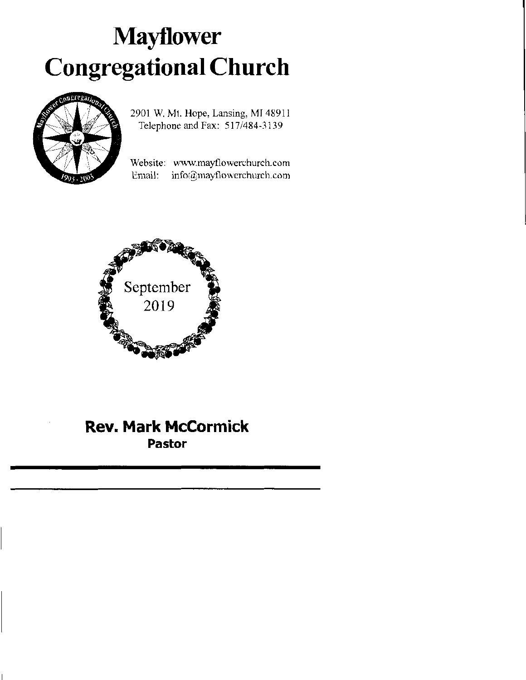# Mayflower Congregational Church



2901 W. Mt. Hope, Lansing, MI 48911 Telephone and Fax: 517/484-3139

Website: www.mayflowerchurch.com Email: info@mayflowerchurch.com



## Rev. Mark McCormick Pastor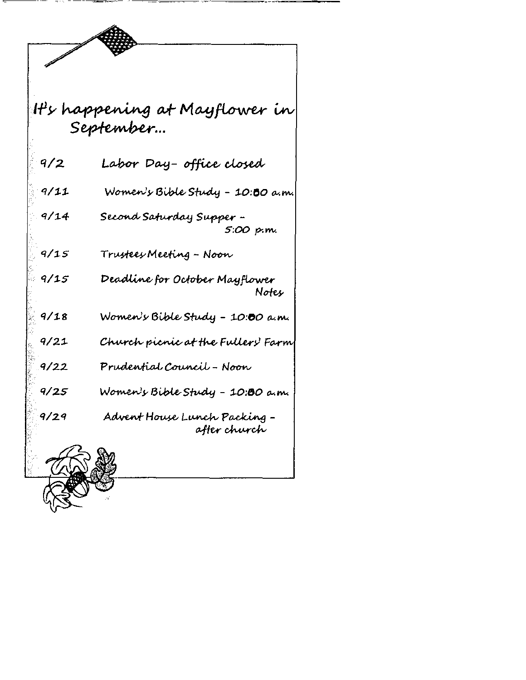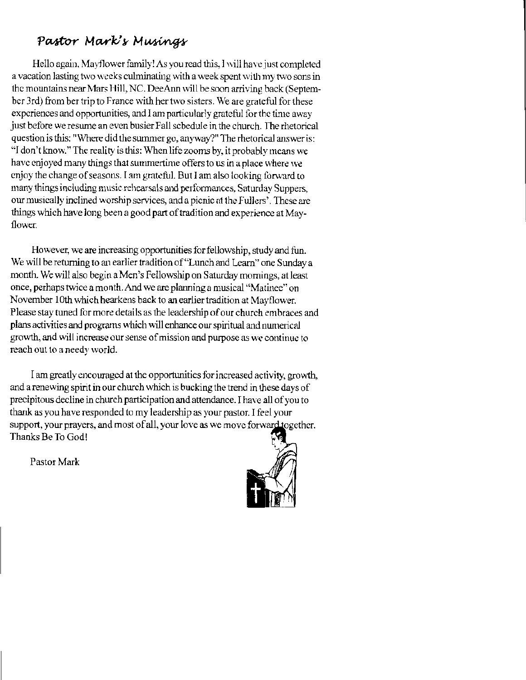## Pastor Mark's Musings

Hello again, Mayflower family! As you read this, I will have just completed a vacation lasting two weeks culminating with a week spent with my two sons in the mountains near Mars Hill, NC. DeeAnn will be soon arriving back (September 3rd) from ber trip to France with her two sisters. We are grateful for these expcriences and opportunities, and I am particularly grateful for the time away just before we resume an even busier Fall schedule in the church. The rhetorical question is this: "Where did the summer go, anyway?" The rhetorical answer is: "I don't know." The reality is this: When life zooms by, it probably means we have enjoyed many things that summertime offers to us in a place where we enjoy the change of seasons. I am grateful. But I am also looking forward to many things including music rehearsals and performances. Saturday Suppers, our musically inclined worship services, and a picnic at the Fullers'. These are things which have long been a good part of tradition and experience at Mayflower.

However, we are increasing opportunities for fellowship, study and fun. We will be returning to an earlier tradition of "Lunch and Learn" one Sunday a month. We will also begin a Men's Fellowship on Saturday mornings, at least once, perhaps twice a month. And we are plaming a musical "Matinee" on November 10th which hearkens back to an earlier tradition at Mayflower. Please stay tuned for more details as the leadership of our church embraces and plans activities and programs which will enhance our spiritual and numerical growth, and will increase our sense of mission and purpose as we continue to reach out to a needy world.

I am greatly encouraged at the opportunities for increased activity, growth, and a renewing spirit in our church which is bucking the trend in these days of precipitous decline in church participation and attendance. I have all of you to thank as you have responded to my leadership as your pastor. I feel your support, your prayers, and most of all, your love as we move forward together. Thanks Be To God!

Pastor Mark

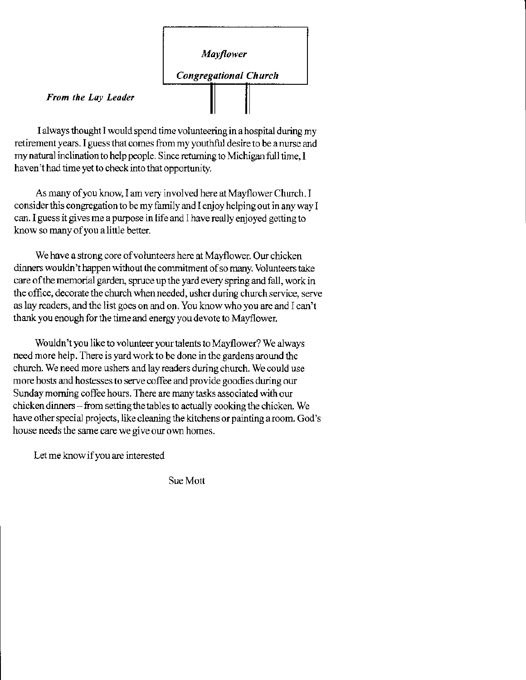

From the Lay Leader

I always thought I would spend time volunteering in a hospital during my retirement years. I guess that comes from my youthful desire to be a nurse and my natural inclination to help people. Since returning to Michigan full time, I haven't had time yet to check into that opportunity.

As many of you know, I am very involved here at Mayflower Church. I consider this congregation to be my family and I enjoy helping out in any way I can. I guess it gives me a purpose in life and I have really enjoyed getting to know so many of you a little better.

We have a strong core of volunteers here at Mayflower. Our chicken dinners wouldn't happen without the commitment of so many. Volunteers take care of the memorial garden, spruce up the yard every spring and fall, work in the office, decorate the church when needed, usher during church service, serve as lay readers, and the list goes on and on. You know who you are and I can't thank you enough for the time and energy you devote to Mayflower.

Wouldn't you like to volunteer your talents to Mayflower? We always need more help. There is yard work to be done in the gardens around the church. We need more ushers and lay readers during church. We could use more hosts and hostesses to serve coffee and provide goodies during our Sunday morning coffee hours. There are many tasks associated with our chicken dinners – from setting the tables to actually cooking the chicken. We have other special projects, like cleaning the kitchens or painting a room. God's house needs the same care we give our own homes.

Let me know if you are interested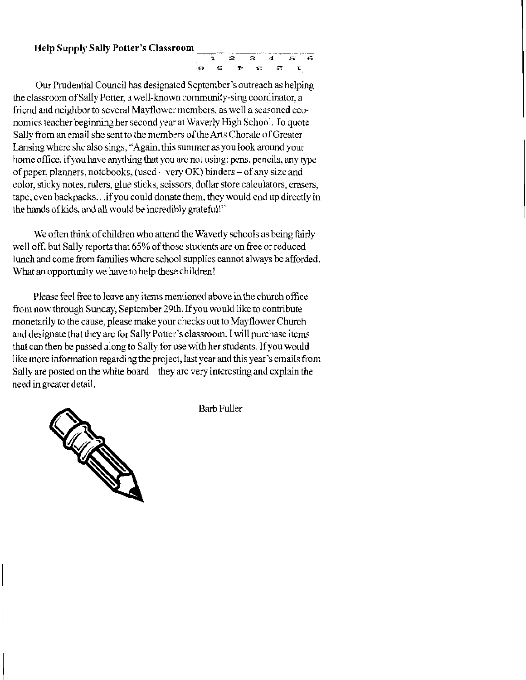#### **Help Supply Sally Potter's Classroom**



Our Prudential Council has designated September's outreach as helping the classroom of Sally Potter, a well-known community-sing coordinator, a friend and neighbor to several Mayflower members, as well a seasoned economics teacher beginning her second year at Waverly High School. To quote Sally from an email she sent to the members of the Arts Chorale of Greater Lansing where she also sings, "Again, this summer as you look around your home office, if you have anything that you are not using: pens, pencils, any type of paper, planners, notebooks, (used – very OK) binders – of any size and color, sticky notes, rulers, glue sticks, scissors, dollar store calculators, crasers, tape, even backpacks... if you could donate them, they would end up directly in the hands of kids, and all would be incredibly grateful!"

We often think of children who attend the Waverly schools as being fairly well off, but Sally reports that 65% of those students are on free or reduced lunch and come from families where school supplies cannot always be afforded. What an opportunity we have to help these children!

Please feel free to leave any items mentioned above in the church office from now through Sunday, September 29th. If you would like to contribute monetarily to the cause, please make your checks out to Mayflower Church and designate that they are for Sally Potter's classroom. I will purchase items that can then be passed along to Sally for use with her students. If you would like more information regarding the project, last year and this year's emails from Sally are posted on the white board – they are very interesting and explain the need in greater detail.



**Barb Fuller**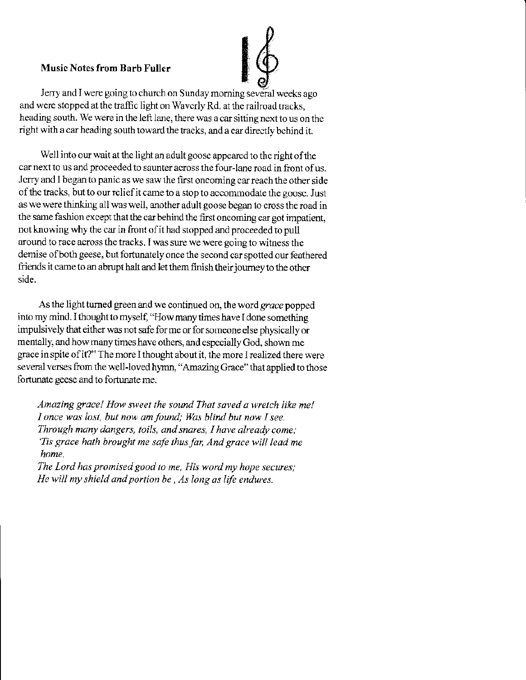#### Music Notes from Barb Fuller



Jerry and I were going to church on Sunday morning several weeks ago and were stopped at the traffic light on Waverly Rd. at the railroad tracks, heading south. We were in the left lane, there was a car sitting next to us on the right with a car heading south toward the tracks, and a car directly bchind it.

Well into our wait at the light an adult goose appeared to the right of the car next to us and proceeded to saunter across the four-lane road in front of us. Jerry and I began to panic as we saw the first oncoming car reach the other side of the tracks, but to our relief it came to a stop to accommodate the goosc. Just as we were thinking all was well, another adult goose began to cross the road in the same fashion except that the car behind the first oncoming car got impatient, not knowing why the car in front of it had stopped and proceeded to pull around to race across the tracks. I was sure we were going to witness the demise of both geese, but fortunately once the second car spotted our feathered friends it came to an abrupt halt and let them finish their journey to the other side.

As the light turned green and we continued on, the word grace popped into my mind. I thought to myself, "How many times have I done something impulsively that either was not safe for me or for someone else physically or mentally, and how many times have others, and especially God, shown me grace in spite of it?" The more I thought about it, the more I realized there were several verses from the well-loved hymn, "Amazing Grace" that applied to those fortunate geese and to fortunate me.

Amazing grace! How sweet the sound That saved a wretch like me! I once was lost, but now am found; Was blind but now I see. Through many dangers, toils, and snares, I have already come; 'Tis grace hath brought me safe thus far, And grace will lead me<br>home. The Lord has promised good to me, His word my hope secures;

He will my shield and portion be, As long as life endures.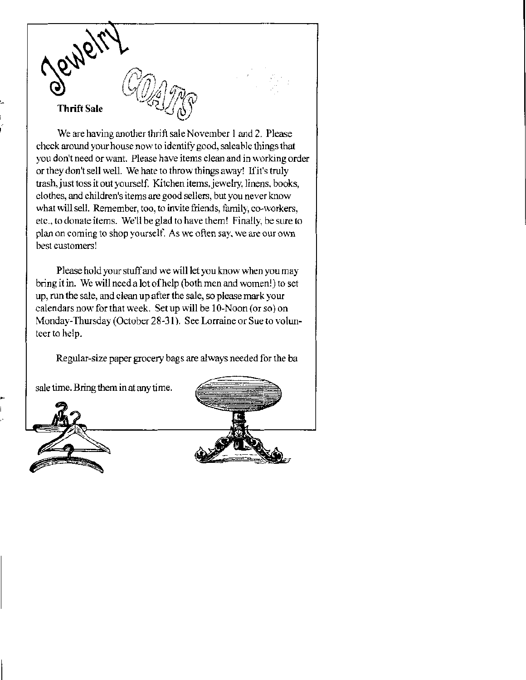

We are having another thrift sale November 1 and 2. Please check around your house now to identify good, saleable things that you don't need or want. Please have items clean and in working order or they don't sell well. We hate to throw things away! If it's truly trash, just toss it out yourself. Kitchen items, jewelry, linens, books, clothes, and children's items are good sellers, but you never know what will sell. Remember, too, to invite friends, family, co-workers, etc., to donate items. We'll be glad to have them! Finally, be sure to plan on coming to shop yourself. As we often say, we are our own best customers!

Please hold your stuff and we will let you know when you may bring it in. We will need a lot of help (both men and women!) to set up, run the sale, and clean up after the sale, so please mark your calendars now for that week. Set up will be 10-Noon (or so) on Monday-Thursday (October 28-31). See Lorraine or Sue to volunteer to help.

Regular-size paper grocery bags are always needed for the ba

sale time. Bring them in at any time.



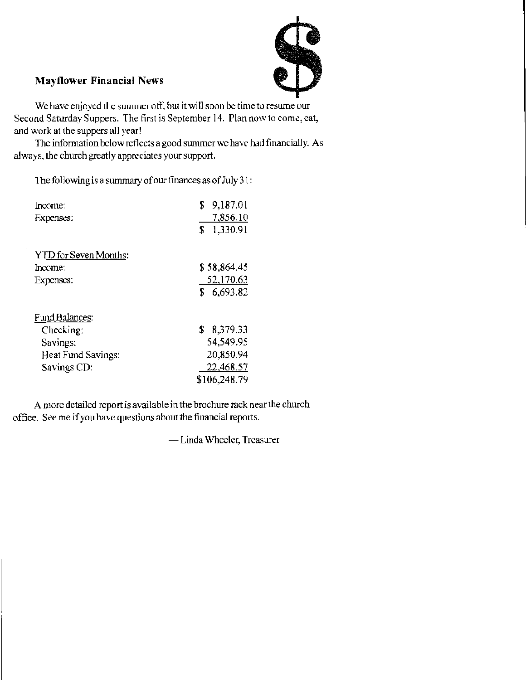

### **Mayflower Financial News**

We have enjoyed the summer off, but it will soon be time to resume our Second Saturday Suppers. The first is September 14. Plan now to come, eat, and work at the suppers all year!

The information below reflects a good summer we have had financially. As always, the church greatly appreciates your support.

The following is a summary of our finances as of July 31:

| Income:               | 9,187.01<br>\$ |  |  |  |
|-----------------------|----------------|--|--|--|
| Expenses:             | 7,856.10       |  |  |  |
|                       | S<br>1,330.91  |  |  |  |
| YTD for Seven Months: |                |  |  |  |
| Income:               | \$58.864.45    |  |  |  |
| Expenses:             | 52,170.63      |  |  |  |
|                       | S.<br>6,693.82 |  |  |  |
| Fund Balances:        |                |  |  |  |
| Checking:             | \$<br>8,379.33 |  |  |  |
| Savings:              | 54,549.95      |  |  |  |
| Heat Fund Savings:    | 20,850.94      |  |  |  |
| Savings CD:           | 22,468.57      |  |  |  |
|                       | \$106,248.79   |  |  |  |

A more detailed report is available in the brochure rack near the church office. See me if you have questions about the financial reports.

-Linda Wheeler, Treasurer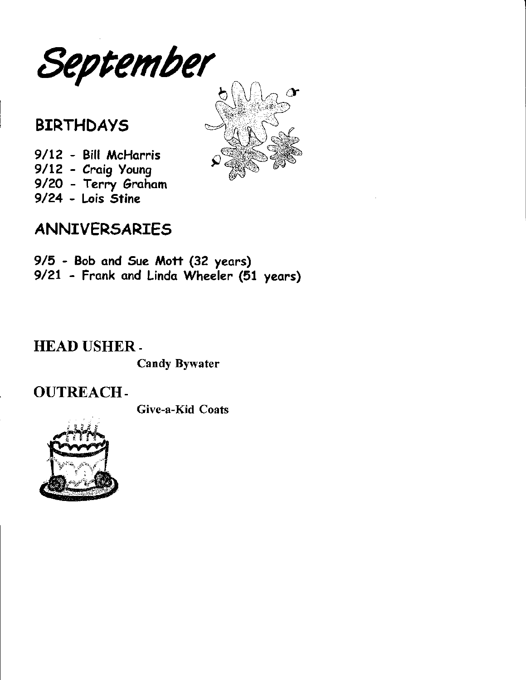

# **BIRTHDAYS**

9/12 - Bill McHarris 9/12 - Craig Young 9/2O - Terry Grohom 9/24 - Lois Stine



# ANNIVERSARIES

9/5 - Bob ond Sue Mott (32 yeors) 9/21 - Frank ond Lindo Wheeler (51 yeors)

## HEAD USHER-

Candy Bywater

OUTREACH-

Give-a-Kid Coats